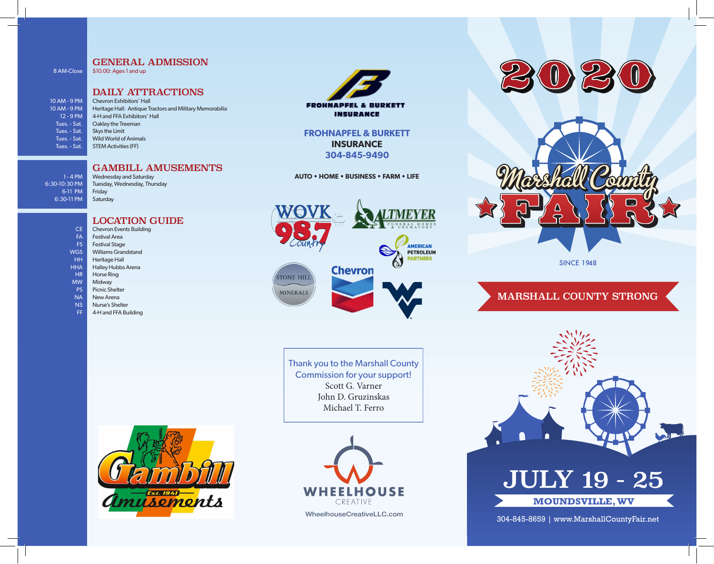### GENERAL ADMISSION \$10.00: Ages 1 and up

8 AM-Close

10 AM - 9 PM 10 AM - 9 PM 12 - 9 PM Tues. - Sat. Tues. - Sat. Tues. - Sat. Tues. - Sat.

## DAILY ATTRACTIONS

Chevron Exhibitors' Hall Heritage Hall: Antique Tractors and Military Memorabilia 4-H and FFA Exhibitors' Hall Oakley the Treeman Skys the Limit Wild World of Animals STEM Activities (FF)

## GAMBILL AMUSEMENTS

1 - 4 PM 6:30-10:30 PM 6-11 PM 6:30-11 PM

Wednesday and Saturday Tuesday, Wednesday, Thursday Friday Saturday

## LOCATION GUIDE

- Chevron Events Building Festival Area CE
- FA
- Festival Stage FS
- Williams Grandstand Heritage Hall WGS HH
- Halley Hubbs Arena **HHA**
- Horse Ring HR
- Midway MW
- 
- Picnic Shelter PS
- New Arena NA
- Nurse's Shelter NS
- 4-H and FFA Building FF



**INSURANCE** 

## **FROHNAPFEL & BURKETT INSURANCE 304-845-9490**

**AUTO • HOME • BUSINESS • FARM • LIFE**



Thank you to the Marshall County Commission for your support! Scott G. Varner John D. Gruzinskas Michael T. Ferro







SINCE 1948

# MARSHALL COUNTY STRONG



304-845-8659 | www.MarshallCountyFair.net